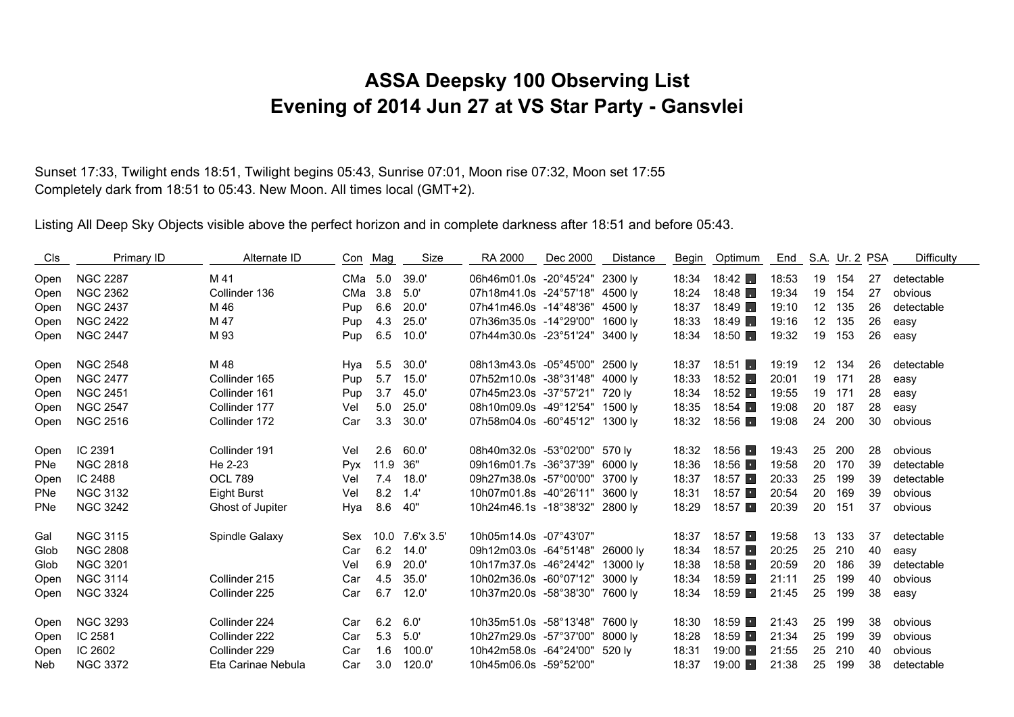## **ASSA Deepsky 100 Observing List Evening of 2014 Jun 27 at VS Star Party - Gansvlei**

Sunset 17:33, Twilight ends 18:51, Twilight begins 05:43, Sunrise 07:01, Moon rise 07:32, Moon set 17:55 Completely dark from 18:51 to 05:43. New Moon. All times local (GMT+2).

Listing All Deep Sky Objects visible above the perfect horizon and in complete darkness after 18:51 and before 05:43.

| Cls        | Primary ID      | Alternate ID       | Con Mag    |      | Size            | RA 2000                         | Dec 2000 | Distance | Begin | Optimum                | End   |                   | S.A. Ur. 2 PSA |    | <b>Difficulty</b> |
|------------|-----------------|--------------------|------------|------|-----------------|---------------------------------|----------|----------|-------|------------------------|-------|-------------------|----------------|----|-------------------|
| Open       | <b>NGC 2287</b> | M 41               | CMa 5.0    |      | 39.0'           | 06h46m01.0s -20°45'24" 2300 ly  |          |          | 18:34 | 18:42                  | 18:53 | 19                | 154            | 27 | detectable        |
| Open       | <b>NGC 2362</b> | Collinder 136      | CMa 3.8    |      | 5.0'            | 07h18m41.0s -24°57'18" 4500 ly  |          |          | 18:24 | 18:48                  | 19:34 | 19                | 154            | 27 | obvious           |
| Open       | <b>NGC 2437</b> | M 46               | Pup        | 6.6  | 20.0'           | 07h41m46.0s -14°48'36" 4500 ly  |          |          | 18:37 | 18:49                  | 19:10 | 12                | 135            | 26 | detectable        |
| Open       | <b>NGC 2422</b> | M 47               | Pup        | 4.3  | 25.0'           | 07h36m35.0s -14°29'00" 1600 ly  |          |          | 18:33 | 18:49                  | 19:16 | 12                | 135            | 26 | easy              |
| Open       | <b>NGC 2447</b> | M 93               | Pup        | 6.5  | 10.0'           | 07h44m30.0s -23°51'24" 3400 ly  |          |          | 18:34 | 18:50                  | 19:32 | 19                | 153            | 26 | easy              |
| Open       | <b>NGC 2548</b> | M 48               | Hya        | 5.5  | 30.0'           | 08h13m43.0s -05°45'00" 2500 ly  |          |          | 18:37 | $18:51$ $\Box$         | 19:19 | $12 \overline{ }$ | 134            | 26 | detectable        |
| Open       | <b>NGC 2477</b> | Collinder 165      | Pup        | 5.7  | 15.0'           | 07h52m10.0s -38°31'48" 4000 ly  |          |          | 18:33 | 18:52                  | 20:01 | 19                | 171            | 28 | easy              |
| Open       | <b>NGC 2451</b> | Collinder 161      | Pup        | 3.7  | 45.0'           | 07h45m23.0s -37°57'21" 720 ly   |          |          | 18:34 | 18:52                  | 19:55 | 19                | 171            | 28 | easy              |
| Open       | <b>NGC 2547</b> | Collinder 177      | Vel        | 5.0  | 25.0'           | 08h10m09.0s -49°12'54" 1500 ly  |          |          | 18:35 | 18:54 $\blacksquare$   | 19:08 | 20                | 187            | 28 | easy              |
| Open       | <b>NGC 2516</b> | Collinder 172      | Car        | 3.3  | 30.0'           | 07h58m04.0s -60°45'12" 1300 ly  |          |          | 18:32 | 18:56                  | 19:08 | 24                | 200            | 30 | obvious           |
| Open       | IC 2391         | Collinder 191      | Vel        | 2.6  | 60.0'           | 08h40m32.0s -53°02'00" 570 ly   |          |          | 18:32 | 18:56 ■                | 19:43 | 25                | 200            | 28 | obvious           |
| <b>PNe</b> | <b>NGC 2818</b> | He 2-23            | <b>Pyx</b> | 11.9 | 36"             | 09h16m01.7s -36°37'39" 6000 ly  |          |          | 18:36 | 18:56                  | 19:58 | 20                | 170            | 39 | detectable        |
| Open       | IC 2488         | <b>OCL 789</b>     | Vel        | 7.4  | 18.0'           | 09h27m38.0s -57°00'00" 3700 ly  |          |          | 18:37 | 18:57                  | 20:33 | 25                | 199            | 39 | detectable        |
| <b>PNe</b> | <b>NGC 3132</b> | Eight Burst        | Vel        | 8.2  | 1.4'            | 10h07m01.8s -40°26'11" 3600 ly  |          |          | 18:31 | 18:57 ■                | 20:54 | 20                | 169            | 39 | obvious           |
| <b>PNe</b> | <b>NGC 3242</b> | Ghost of Jupiter   | Hya        | 8.6  | 40"             | 10h24m46.1s -18°38'32" 2800 ly  |          |          | 18:29 | 18:57                  | 20:39 | 20                | 151            | 37 | obvious           |
| Gal        | <b>NGC 3115</b> | Spindle Galaxy     | Sex        |      | 10.0 7.6'x 3.5' | 10h05m14.0s -07°43'07"          |          |          | 18:37 | 18:57                  | 19:58 | 13                | 133            | 37 | detectable        |
| Glob       | <b>NGC 2808</b> |                    | Car        | 6.2  | 14.0'           | 09h12m03.0s -64°51'48" 26000 lv |          |          | 18:34 | 18:57                  | 20:25 | 25                | 210            | 40 | easy              |
| Glob       | <b>NGC 3201</b> |                    | Vel        | 6.9  | 20.0'           | 10h17m37.0s -46°24'42" 13000 ly |          |          | 18:38 | 18:58                  | 20:59 | 20                | 186            | 39 | detectable        |
| Open       | <b>NGC 3114</b> | Collinder 215      | Car        | 4.5  | 35.0'           | 10h02m36.0s -60°07'12" 3000 ly  |          |          | 18:34 | 18:59                  | 21:11 | 25                | 199            | 40 | obvious           |
| Open       | <b>NGC 3324</b> | Collinder 225      | Car        | 6.7  | 12.0'           | 10h37m20.0s -58°38'30" 7600 ly  |          |          | 18:34 | 18:59 $\blacksquare$   | 21:45 | 25                | 199            | 38 | easy              |
| Open       | <b>NGC 3293</b> | Collinder 224      | Car        | 6.2  | 6.0'            | 10h35m51.0s -58°13'48" 7600 ly  |          |          | 18:30 | 18:59 ■                | 21:43 | 25                | 199            | 38 | obvious           |
| Open       | IC 2581         | Collinder 222      | Car        | 5.3  | 5.0'            | 10h27m29.0s -57°37'00" 8000 ly  |          |          | 18:28 | $18:59$ $\blacksquare$ | 21:34 | 25                | 199            | 39 | obvious           |
| Open       | IC 2602         | Collinder 229      | Car        | 1.6  | 100.0'          | 10h42m58.0s -64°24'00" 520 ly   |          |          | 18:31 | $19:00$ $\blacksquare$ | 21:55 | 25                | 210            | 40 | obvious           |
| Neb.       | <b>NGC 3372</b> | Eta Carinae Nebula | Car        | 3.0  | 120.0'          | 10h45m06.0s -59°52'00"          |          |          | 18:37 | 19:00                  | 21:38 | 25                | 199            | 38 | detectable        |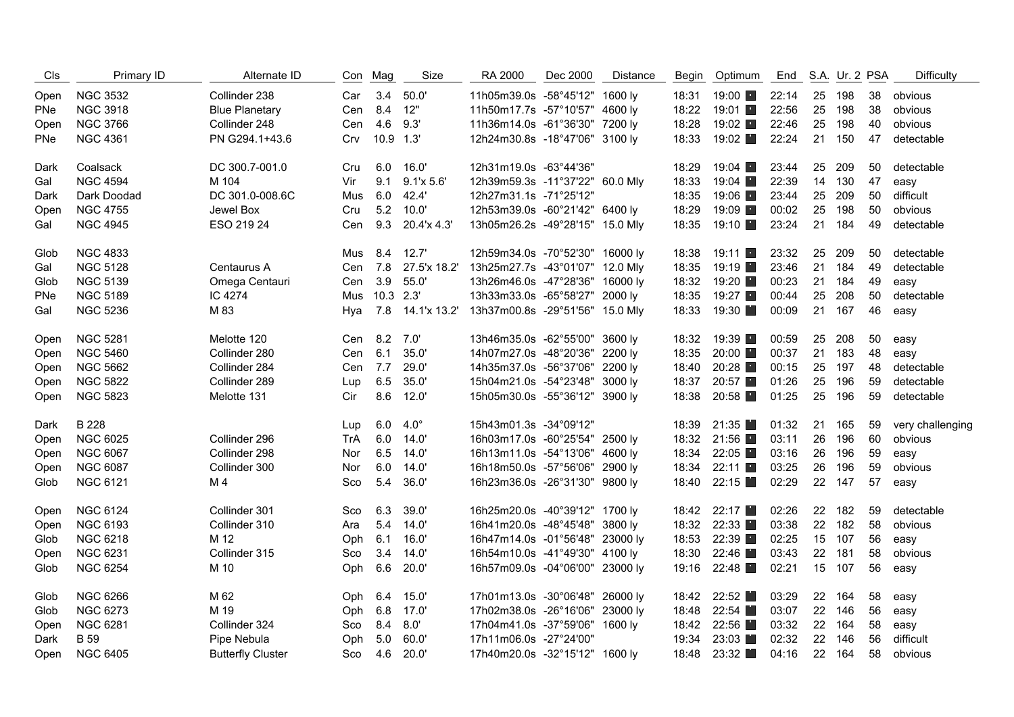| C <sub>ls</sub> | Primary ID      | Alternate ID             |            | Con Mag       | Size             | RA 2000                         | Dec 2000 | <b>Distance</b> | Begin | Optimum              | End   |    | S.A. Ur. 2 PSA |    | <b>Difficulty</b> |
|-----------------|-----------------|--------------------------|------------|---------------|------------------|---------------------------------|----------|-----------------|-------|----------------------|-------|----|----------------|----|-------------------|
| Open            | <b>NGC 3532</b> | Collinder 238            | Car        | 3.4           | 50.0'            | 11h05m39.0s -58°45'12" 1600 ly  |          |                 | 18:31 | 19:00 ■              | 22:14 | 25 | 198            | 38 | obvious           |
| PNe             | <b>NGC 3918</b> | <b>Blue Planetary</b>    | Cen        | 8.4           | 12"              | 11h50m17.7s -57°10'57" 4600 ly  |          |                 | 18:22 | 19:01 ■              | 22:56 | 25 | 198            | 38 | obvious           |
| Open            | <b>NGC 3766</b> | Collinder 248            | Cen        | 4.6           | 9.3'             | 11h36m14.0s -61°36'30" 7200 ly  |          |                 | 18:28 | 19:02                | 22:46 | 25 | 198            | 40 | obvious           |
| PNe             | <b>NGC 4361</b> | PN G294.1+43.6           | Crv        | 10.9 1.3'     |                  | 12h24m30.8s -18°47'06" 3100 ly  |          |                 | 18:33 | 19:02 ■              | 22:24 |    | 21 150         | 47 | detectable        |
| Dark            | Coalsack        | DC 300.7-001.0           | Cru        | 6.0           | 16.0'            | 12h31m19.0s -63°44'36"          |          |                 | 18:29 | 19:04 $\blacksquare$ | 23:44 | 25 | 209            | 50 | detectable        |
| Gal             | <b>NGC 4594</b> | M 104                    | Vir        | 9.1           | 9.1'x 5.6'       | 12h39m59.3s -11°37'22" 60.0 Mly |          |                 | 18:33 | 19:04 ■              | 22:39 | 14 | 130            | 47 | easy              |
| Dark            | Dark Doodad     | DC 301.0-008.6C          | Mus        | 6.0           | 42.4'            | 12h27m31.1s -71°25'12"          |          |                 | 18:35 | 19:06 ■              | 23:44 | 25 | 209            | 50 | difficult         |
| Open            | <b>NGC 4755</b> | Jewel Box                | Cru        | 5.2           | 10.0'            | 12h53m39.0s -60°21'42" 6400 ly  |          |                 | 18:29 | 19:09 ■              | 00:02 |    | 25 198         | 50 | obvious           |
| Gal             | <b>NGC 4945</b> | ESO 219 24               | Cen        | 9.3           | 20.4'x 4.3'      | 13h05m26.2s -49°28'15" 15.0 Mly |          |                 | 18:35 | 19:10 ■              | 23:24 |    | 21 184         | 49 | detectable        |
| Glob            | <b>NGC 4833</b> |                          | Mus        | 8.4           | 12.7'            | 12h59m34.0s -70°52'30" 16000 ly |          |                 | 18:38 | 19:11 $\blacksquare$ | 23:32 | 25 | 209            | 50 | detectable        |
| Gal             | <b>NGC 5128</b> | Centaurus A              | Cen        | 7.8           | 27.5'x 18.2'     | 13h25m27.7s -43°01'07" 12.0 Mly |          |                 | 18:35 | 19:19 ■              | 23:46 | 21 | 184            | 49 | detectable        |
| Glob            | <b>NGC 5139</b> | Omega Centauri           | Cen        | 3.9           | 55.0'            | 13h26m46.0s -47°28'36" 16000 ly |          |                 | 18:32 | 19:20 ■              | 00:23 |    | 21 184         | 49 | easy              |
| PNe             | <b>NGC 5189</b> | IC 4274                  | Mus        | $10.3$ $2.3'$ |                  | 13h33m33.0s -65°58'27" 2000 ly  |          |                 | 18:35 | 19:27 ■              | 00:44 | 25 | 208            | 50 | detectable        |
| Gal             | <b>NGC 5236</b> | M 83                     | Hva        |               | 7.8 14.1'x 13.2' | 13h37m00.8s -29°51'56" 15.0 Mly |          |                 | 18:33 | 19:30                | 00:09 |    | 21 167         | 46 | easy              |
| Open            | <b>NGC 5281</b> | Melotte 120              | Cen        | 8.2           | 7.0'             | 13h46m35.0s -62°55'00" 3600 ly  |          |                 | 18:32 | 19:39 ■              | 00:59 | 25 | 208            | 50 | easy              |
| Open            | <b>NGC 5460</b> | Collinder 280            | Cen        | 6.1           | 35.0'            | 14h07m27.0s -48°20'36" 2200 ly  |          |                 | 18:35 | 20:00 ■              | 00:37 | 21 | 183            | 48 | easy              |
| Open            | <b>NGC 5662</b> | Collinder 284            | Cen        | 7.7           | 29.0'            | 14h35m37.0s -56°37'06" 2200 ly  |          |                 | 18:40 | 20:28 ■              | 00:15 | 25 | 197            | 48 | detectable        |
| Open            | <b>NGC 5822</b> | Collinder 289            | Lup        | 6.5           | 35.0'            | 15h04m21.0s -54°23'48" 3000 ly  |          |                 | 18:37 | 20:57                | 01:26 | 25 | 196            | 59 | detectable        |
| Open            | <b>NGC 5823</b> | Melotte 131              | Cir        | 8.6           | 12.0'            | 15h05m30.0s -55°36'12" 3900 ly  |          |                 | 18:38 | 20:58 ■              | 01:25 |    | 25 196         | 59 | detectable        |
| Dark            | <b>B</b> 228    |                          | Lup        | 6.0           | $4.0^\circ$      | 15h43m01.3s -34°09'12"          |          |                 | 18:39 | 21:35                | 01:32 | 21 | 165            | 59 | very challenging  |
| Open            | <b>NGC 6025</b> | Collinder 296            | <b>TrA</b> | 6.0           | 14.0'            | 16h03m17.0s -60°25'54" 2500 ly  |          |                 | 18:32 | 21:56 ■              | 03:11 | 26 | 196            | 60 | obvious           |
| Open            | <b>NGC 6067</b> | Collinder 298            | Nor        | 6.5           | 14.0'            | 16h13m11.0s -54°13'06" 4600 ly  |          |                 | 18:34 | 22:05 ■              | 03:16 | 26 | 196            | 59 | easy              |
| Open            | <b>NGC 6087</b> | Collinder 300            | Nor        | 6.0           | 14.0'            | 16h18m50.0s -57°56'06" 2900 ly  |          |                 | 18:34 | 22:11 ■              | 03:25 | 26 | 196            | 59 | obvious           |
| Glob            | <b>NGC 6121</b> | M 4                      | Sco        | 5.4           | 36.0'            | 16h23m36.0s -26°31'30" 9800 ly  |          |                 | 18:40 | 22:15                | 02:29 |    | 22 147         | 57 | easy              |
| Open            | <b>NGC 6124</b> | Collinder 301            | Sco        | 6.3           | 39.0'            | 16h25m20.0s -40°39'12" 1700 ly  |          |                 |       | 18:42 22:17          | 02:26 |    | 22 182         | 59 | detectable        |
| Open            | <b>NGC 6193</b> | Collinder 310            | Ara        | 5.4           | 14.0'            | 16h41m20.0s -48°45'48" 3800 ly  |          |                 | 18:32 | 22:33 ■              | 03:38 |    | 22 182         | 58 | obvious           |
| Glob            | <b>NGC 6218</b> | M 12                     | Oph        | 6.1           | 16.0'            | 16h47m14.0s -01°56'48" 23000 ly |          |                 | 18:53 | 22:39 ■              | 02:25 |    | 15 107         | 56 | easy              |
| Open            | <b>NGC 6231</b> | Collinder 315            | Sco        | 3.4           | 14.0'            | 16h54m10.0s -41°49'30" 4100 ly  |          |                 | 18:30 | 22:46                | 03:43 |    | 22 181         | 58 | obvious           |
| Glob            | <b>NGC 6254</b> | M 10                     | Oph        | 6.6           | 20.0'            | 16h57m09.0s -04°06'00" 23000 ly |          |                 | 19:16 | 22:48 ■              | 02:21 |    | 15 107         | 56 | easy              |
| Glob            | <b>NGC 6266</b> | M 62                     | Oph        | 6.4           | 15.0'            | 17h01m13.0s -30°06'48" 26000 ly |          |                 |       | 18:42 22:52          | 03:29 |    | 22 164         | 58 | easy              |
| Glob            | <b>NGC 6273</b> | M 19                     | Oph        | 6.8           | 17.0'            | 17h02m38.0s -26°16'06" 23000 ly |          |                 | 18:48 | 22:54                | 03:07 | 22 | 146            | 56 | easy              |
| Open            | <b>NGC 6281</b> | Collinder 324            | Sco        | 8.4           | 8.0'             | 17h04m41.0s -37°59'06" 1600 ly  |          |                 | 18:42 | 22:56 ■              | 03:32 | 22 | 164            | 58 | easy              |
| Dark            | <b>B</b> 59     | Pipe Nebula              | Oph        | 5.0           | 60.0             | 17h11m06.0s -27°24'00"          |          |                 | 19:34 | 23:03                | 02:32 | 22 | 146            | 56 | difficult         |
| Open            | <b>NGC 6405</b> | <b>Butterfly Cluster</b> | Sco        | 4.6           | 20.0'            | 17h40m20.0s -32°15'12" 1600 ly  |          |                 |       | 18:48 23:32          | 04:16 |    | 22 164         | 58 | obvious           |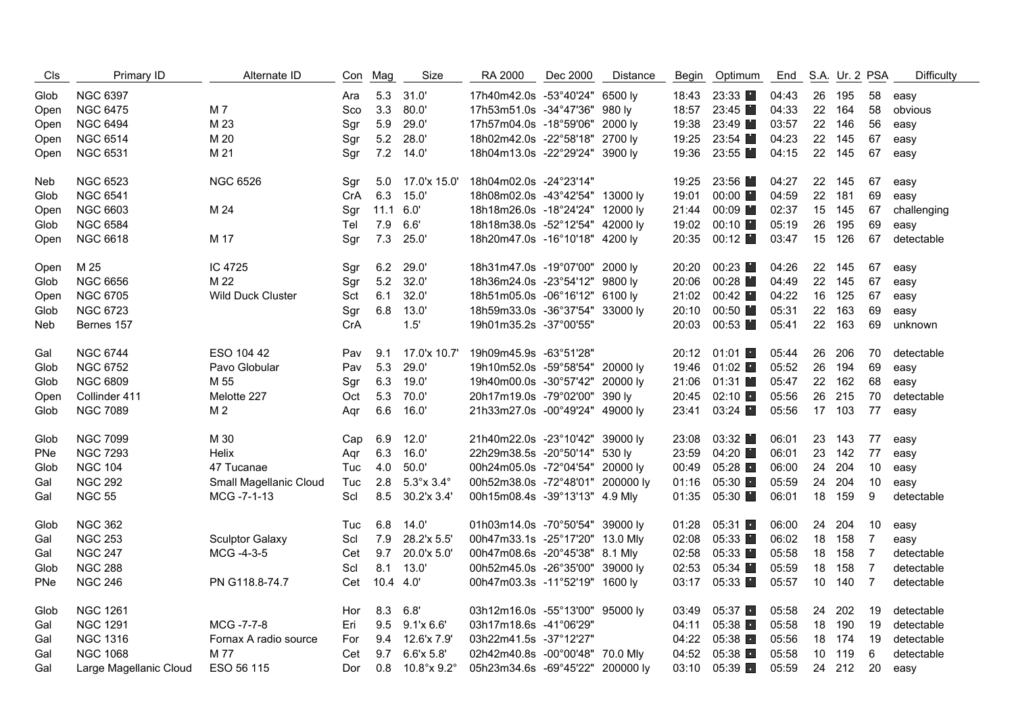| <b>CIS</b> | Primary ID             | Alternate ID             | Con | Mag            | Size                      | RA 2000                          | Dec 2000 | Distance | Begin | Optimum                | End   |    | S.A. Ur. 2 PSA |                | Difficulty  |
|------------|------------------------|--------------------------|-----|----------------|---------------------------|----------------------------------|----------|----------|-------|------------------------|-------|----|----------------|----------------|-------------|
| Glob       | <b>NGC 6397</b>        |                          | Ara | 5.3            | 31.0'                     | 17h40m42.0s -53°40'24" 6500 ly   |          |          | 18:43 | 23:33                  | 04:43 |    | 26 195         | 58             | easy        |
| Open       | <b>NGC 6475</b>        | M 7                      | Sco | 3.3            | 80.0'                     | 17h53m51.0s -34°47'36" 980 ly    |          |          | 18:57 | 23:45                  | 04:33 |    | 22 164         | 58             | obvious     |
| Open       | <b>NGC 6494</b>        | M 23                     | Sgr | 5.9            | 29.0'                     | 17h57m04.0s -18°59'06" 2000 ly   |          |          | 19:38 | 23:49                  | 03:57 |    | 22 146         | 56             | easy        |
| Open       | <b>NGC 6514</b>        | M 20                     | Sgr | 5.2            | 28.0'                     | 18h02m42.0s -22°58'18" 2700 ly   |          |          | 19:25 | 23:54                  | 04:23 |    | 22 145         | 67             | easy        |
| Open       | <b>NGC 6531</b>        | M 21                     | Sqr |                | 7.2 14.0                  | 18h04m13.0s -22°29'24" 3900 ly   |          |          | 19:36 | 23:55                  | 04:15 |    | 22 145         | 67             | easy        |
| Neb        | <b>NGC 6523</b>        | <b>NGC 6526</b>          | Sgr | 5.0            | 17.0'x 15.0'              | 18h04m02.0s -24°23'14"           |          |          | 19:25 | 23:56                  | 04:27 |    | 22 145         | 67             | easy        |
| Glob       | <b>NGC 6541</b>        |                          | CrA | 6.3            | 15.0'                     | 18h08m02.0s -43°42'54" 13000 ly  |          |          | 19:01 | $00:00$ $\blacksquare$ | 04:59 |    | 22 181         | 69             | easy        |
| Open       | <b>NGC 6603</b>        | M 24                     | Sgr | $11.1 \t 6.0'$ |                           | 18h18m26.0s -18°24'24" 12000 ly  |          |          | 21:44 | $00:09$ $\blacksquare$ | 02:37 |    | 15 145         | 67             | challenging |
| Glob       | <b>NGC 6584</b>        |                          | Tel | 7.9            | 6.6'                      | 18h18m38.0s -52°12'54" 42000 ly  |          |          | 19:02 | $00:10$ $\blacksquare$ | 05:19 |    | 26 195         | 69             | easy        |
| Open       | <b>NGC 6618</b>        | M 17                     | Sgr | 7.3            | 25.0'                     | 18h20m47.0s -16°10'18" 4200 ly   |          |          | 20:35 | 00:12                  | 03:47 |    | 15 126         | 67             | detectable  |
| Open       | M 25                   | IC 4725                  | Sgr | 6.2            | 29.0'                     | 18h31m47.0s -19°07'00" 2000 ly   |          |          | 20:20 | 00:23                  | 04:26 |    | 22 145         | 67             | easy        |
| Glob       | <b>NGC 6656</b>        | M 22                     | Sgr | 5.2            | 32.0'                     | 18h36m24.0s -23°54'12" 9800 ly   |          |          | 20:06 | 00:28                  | 04:49 |    | 22 145         | 67             | easy        |
| Open       | <b>NGC 6705</b>        | <b>Wild Duck Cluster</b> | Sct | 6.1            | 32.0'                     | 18h51m05.0s -06°16'12" 6100 ly   |          |          | 21:02 | 00:42                  | 04:22 |    | 16 125         | 67             | easy        |
| Glob       | <b>NGC 6723</b>        |                          | Sgr | 6.8            | 13.0'                     | 18h59m33.0s -36°37'54" 33000 ly  |          |          | 20:10 | 00:50                  | 05:31 |    | 22 163         | 69             | easy        |
| Neb        | Bernes 157             |                          | CrA |                | 1.5'                      | 19h01m35.2s -37°00'55"           |          |          | 20:03 | 00:53                  | 05:41 |    | 22 163         | 69             | unknown     |
| Gal        | <b>NGC 6744</b>        | ESO 104 42               | Pav | 9.1            | 17.0'x 10.7'              | 19h09m45.9s -63°51'28"           |          |          | 20:12 | $01:01$ $\blacksquare$ | 05:44 |    | 26 206         | 70             | detectable  |
| Glob       | <b>NGC 6752</b>        | Pavo Globular            | Pav | 5.3            | 29.0'                     | 19h10m52.0s -59°58'54" 20000 ly  |          |          | 19:46 | $01:02$ $\blacksquare$ | 05:52 |    | 26 194         | 69             | easy        |
| Glob       | <b>NGC 6809</b>        | M 55                     | Sgr | 6.3            | 19.0'                     | 19h40m00.0s -30°57'42" 20000 ly  |          |          | 21:06 | 01:31                  | 05:47 |    | 22 162         | 68             | easy        |
| Open       | Collinder 411          | Melotte 227              | Oct | 5.3            | 70.0'                     | 20h17m19.0s -79°02'00" 390 ly    |          |          | 20:45 | 02:10                  | 05:56 |    | 26 215         | 70             | detectable  |
| Glob       | <b>NGC 7089</b>        | M <sub>2</sub>           | Agr | 6.6            | 16.0'                     | 21h33m27.0s -00°49'24" 49000 ly  |          |          | 23:41 | 03:24                  | 05:56 |    | 17 103         | 77             | easy        |
| Glob       | <b>NGC 7099</b>        | M 30                     | Cap | 6.9            | 12.0'                     | 21h40m22.0s -23°10'42" 39000 ly  |          |          | 23:08 | 03:32                  | 06:01 |    | 23 143         | 77             | easy        |
| PNe        | <b>NGC 7293</b>        | <b>Helix</b>             | Agr | 6.3            | 16.0'                     | 22h29m38.5s -20°50'14" 530 ly    |          |          | 23:59 | 04:20                  | 06:01 |    | 23 142         | 77             | easy        |
| Glob       | <b>NGC 104</b>         | 47 Tucanae               | Tuc | 4.0            | 50.0'                     | 00h24m05.0s -72°04'54" 20000 ly  |          |          | 00:49 | 05:28                  | 06:00 |    | 24 204         | 10             | easy        |
| Gal        | <b>NGC 292</b>         | Small Magellanic Cloud   | Tuc | 2.8            | $5.3^\circ$ x $3.4^\circ$ | 00h52m38.0s -72°48'01" 200000 ly |          |          | 01:16 | 05:30                  | 05:59 |    | 24 204         | 10             | easy        |
| Gal        | <b>NGC 55</b>          | MCG -7-1-13              | Scl | 8.5            | 30.2'x 3.4'               | 00h15m08.4s -39°13'13" 4.9 Mly   |          |          | 01:35 | 05:30                  | 06:01 |    | 18 159         | 9              | detectable  |
| Glob       | <b>NGC 362</b>         |                          | Tuc |                | $6.8$ 14.0'               | 01h03m14.0s -70°50'54" 39000 ly  |          |          | 01:28 | 05:31                  | 06:00 |    | 24 204         | 10             | easy        |
| Gal        | <b>NGC 253</b>         | <b>Sculptor Galaxy</b>   | Scl | 7.9            | 28.2'x 5.5'               | 00h47m33.1s -25°17'20" 13.0 Mly  |          |          | 02:08 | 05:33                  | 06:02 |    | 18 158         | 7              | easy        |
| Gal        | <b>NGC 247</b>         | MCG -4-3-5               | Cet | 9.7            | 20.0'x 5.0'               | 00h47m08.6s -20°45'38" 8.1 Mly   |          |          | 02:58 | 05:33                  | 05:58 |    | 18 158         | $\overline{7}$ | detectable  |
| Glob       | <b>NGC 288</b>         |                          | Scl | 8.1            | 13.0'                     | 00h52m45.0s -26°35'00" 39000 ly  |          |          | 02:53 | 05:34                  | 05:59 |    | 18 158         | $\overline{7}$ | detectable  |
| PNe        | <b>NGC 246</b>         | PN G118.8-74.7           | Cet | 10.4 4.0       |                           | 00h47m03.3s -11°52'19" 1600 ly   |          |          | 03:17 | 05:33                  | 05:57 |    | 10 140         | $\overline{7}$ | detectable  |
| Glob       | <b>NGC 1261</b>        |                          | Hor | 8.3            | 6.8'                      | 03h12m16.0s -55°13'00" 95000 ly  |          |          | 03:49 | 05:37                  | 05:58 | 24 | 202            | 19             | detectable  |
| Gal        | <b>NGC 1291</b>        | MCG -7-7-8               | Eri | 9.5            | 9.1'x6.6'                 | 03h17m18.6s -41°06'29"           |          |          | 04:11 | 05:38                  | 05:58 |    | 18 190         | 19             | detectable  |
| Gal        | <b>NGC 1316</b>        | Fornax A radio source    | For | 9.4            | 12.6'x 7.9'               | 03h22m41.5s -37°12'27"           |          |          | 04:22 | 05:38                  | 05:56 |    | 18 174         | 19             | detectable  |
| Gal        | <b>NGC 1068</b>        | M 77                     | Cet |                | 9.7 6.6'x 5.8'            | 02h42m40.8s -00°00'48" 70.0 Mly  |          |          | 04:52 | 05:38                  | 05:58 |    | 10 119         | 6              | detectable  |
| Gal        | Large Magellanic Cloud | ESO 56 115               | Dor |                | $0.8$ 10.8° x 9.2°        | 05h23m34.6s -69°45'22" 200000 ly |          |          | 03:10 | 05:39                  | 05:59 |    | 24 212         | 20             | easy        |